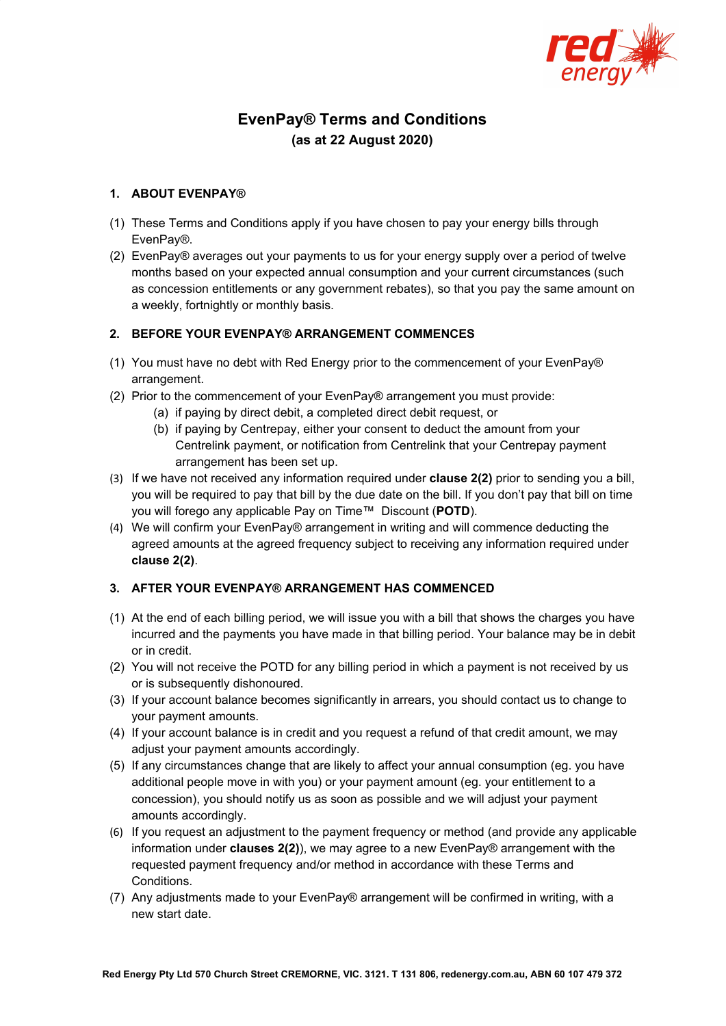

# **EvenPay® Terms and Conditions (as at 22 August 2020)**

# **1. ABOUT EVENPAY®**

- (1) These Terms and Conditions apply if you have chosen to pay your energy bills through EvenPay®.
- (2) EvenPay® averages out your payments to us for your energy supply over a period of twelve months based on your expected annual consumption and your current circumstances (such as concession entitlements or any government rebates), so that you pay the same amount on a weekly, fortnightly or monthly basis.

## **2. BEFORE YOUR EVENPAY® ARRANGEMENT COMMENCES**

- (1) You must have no debt with Red Energy prior to the commencement of your EvenPay® arrangement.
- (2) Prior to the commencement of your EvenPay® arrangement you must provide:
	- (a) if paying by direct debit, a completed direct debit request, or
	- (b) if paying by Centrepay, either your consent to deduct the amount from your Centrelink payment, or notification from Centrelink that your Centrepay payment arrangement has been set up.
- (3) If we have not received any information required under **clause 2(2)** prior to sending you a bill, you will be required to pay that bill by the due date on the bill. If you don't pay that bill on time you will forego any applicable Pay on Time™ Discount (**POTD**).
- (4) We will confirm your EvenPay® arrangement in writing and will commence deducting the agreed amounts at the agreed frequency subject to receiving any information required under **clause 2(2)**.

# **3. AFTER YOUR EVENPAY® ARRANGEMENT HAS COMMENCED**

- (1) At the end of each billing period, we will issue you with a bill that shows the charges you have incurred and the payments you have made in that billing period. Your balance may be in debit or in credit.
- (2) You will not receive the POTD for any billing period in which a payment is not received by us or is subsequently dishonoured.
- (3) If your account balance becomes significantly in arrears, you should contact us to change to your payment amounts.
- (4) If your account balance is in credit and you request a refund of that credit amount, we may adjust your payment amounts accordingly.
- (5) If any circumstances change that are likely to affect your annual consumption (eg. you have additional people move in with you) or your payment amount (eg. your entitlement to a concession), you should notify us as soon as possible and we will adjust your payment amounts accordingly.
- (6) If you request an adjustment to the payment frequency or method (and provide any applicable information under **clauses 2(2)**), we may agree to a new EvenPay® arrangement with the requested payment frequency and/or method in accordance with these Terms and Conditions.
- (7) Any adjustments made to your EvenPay® arrangement will be confirmed in writing, with a new start date.